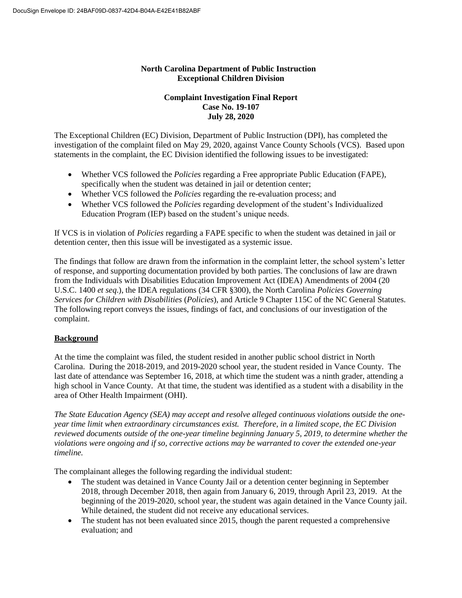# **North Carolina Department of Public Instruction Exceptional Children Division**

### **Complaint Investigation Final Report Case No. 19-107 July 28, 2020**

The Exceptional Children (EC) Division, Department of Public Instruction (DPI), has completed the investigation of the complaint filed on May 29, 2020, against Vance County Schools (VCS). Based upon statements in the complaint, the EC Division identified the following issues to be investigated:

- Whether VCS followed the *Policies* regarding a Free appropriate Public Education (FAPE), specifically when the student was detained in jail or detention center;
- Whether VCS followed the *Policies* regarding the re-evaluation process; and
- Whether VCS followed the *Policies* regarding development of the student's Individualized Education Program (IEP) based on the student's unique needs.

If VCS is in violation of *Policies* regarding a FAPE specific to when the student was detained in jail or detention center, then this issue will be investigated as a systemic issue.

The findings that follow are drawn from the information in the complaint letter, the school system's letter of response, and supporting documentation provided by both parties. The conclusions of law are drawn from the Individuals with Disabilities Education Improvement Act (IDEA) Amendments of 2004 (20 U.S.C. 1400 *et seq*.), the IDEA regulations (34 CFR §300), the North Carolina *Policies Governing Services for Children with Disabilities* (*Policies*), and Article 9 Chapter 115C of the NC General Statutes. The following report conveys the issues, findings of fact, and conclusions of our investigation of the complaint.

# **Background**

At the time the complaint was filed, the student resided in another public school district in North Carolina. During the 2018-2019, and 2019-2020 school year, the student resided in Vance County. The last date of attendance was September 16, 2018, at which time the student was a ninth grader, attending a high school in Vance County. At that time, the student was identified as a student with a disability in the area of Other Health Impairment (OHI).

*The State Education Agency (SEA) may accept and resolve alleged continuous violations outside the oneyear time limit when extraordinary circumstances exist. Therefore, in a limited scope, the EC Division reviewed documents outside of the one-year timeline beginning January 5, 2019, to determine whether the violations were ongoing and if so, corrective actions may be warranted to cover the extended one-year timeline.* 

The complainant alleges the following regarding the individual student:

- The student was detained in Vance County Jail or a detention center beginning in September 2018, through December 2018, then again from January 6, 2019, through April 23, 2019. At the beginning of the 2019-2020, school year, the student was again detained in the Vance County jail. While detained, the student did not receive any educational services.
- The student has not been evaluated since 2015, though the parent requested a comprehensive evaluation; and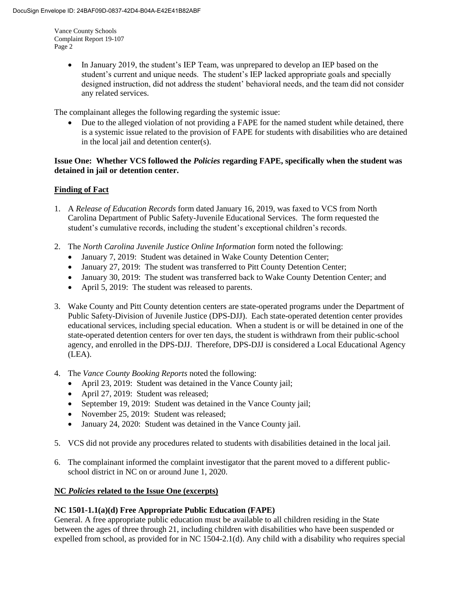> • In January 2019, the student's IEP Team, was unprepared to develop an IEP based on the student's current and unique needs. The student's IEP lacked appropriate goals and specially designed instruction, did not address the student' behavioral needs, and the team did not consider any related services.

The complainant alleges the following regarding the systemic issue:

 Due to the alleged violation of not providing a FAPE for the named student while detained, there is a systemic issue related to the provision of FAPE for students with disabilities who are detained in the local jail and detention center(s).

### **Issue One: Whether VCS followed the** *Policies* **regarding FAPE, specifically when the student was detained in jail or detention center.**

# **Finding of Fact**

- 1. A *Release of Education Records* form dated January 16, 2019, was faxed to VCS from North Carolina Department of Public Safety-Juvenile Educational Services. The form requested the student's cumulative records, including the student's exceptional children's records.
- 2. The *North Carolina Juvenile Justice Online Information* form noted the following:
	- January 7, 2019: Student was detained in Wake County Detention Center;
	- January 27, 2019: The student was transferred to Pitt County Detention Center;
	- January 30, 2019: The student was transferred back to Wake County Detention Center; and
	- April 5, 2019: The student was released to parents.
- 3. Wake County and Pitt County detention centers are state-operated programs under the Department of Public Safety-Division of Juvenile Justice (DPS-DJJ). Each state-operated detention center provides educational services, including special education. When a student is or will be detained in one of the state-operated detention centers for over ten days, the student is withdrawn from their public-school agency, and enrolled in the DPS-DJJ. Therefore, DPS-DJJ is considered a Local Educational Agency (LEA).
- 4. The *Vance County Booking Reports* noted the following:
	- April 23, 2019: Student was detained in the Vance County jail;
	- April 27, 2019: Student was released;
	- September 19, 2019: Student was detained in the Vance County jail;
	- November 25, 2019: Student was released;
	- January 24, 2020: Student was detained in the Vance County jail.
- 5. VCS did not provide any procedures related to students with disabilities detained in the local jail.
- 6. The complainant informed the complaint investigator that the parent moved to a different publicschool district in NC on or around June 1, 2020.

#### **NC** *Policies* **related to the Issue One (excerpts)**

# **NC 1501-1.1(a)(d) Free Appropriate Public Education (FAPE)**

General. A free appropriate public education must be available to all children residing in the State between the ages of three through 21, including children with disabilities who have been suspended or expelled from school, as provided for in NC 1504-2.1(d). Any child with a disability who requires special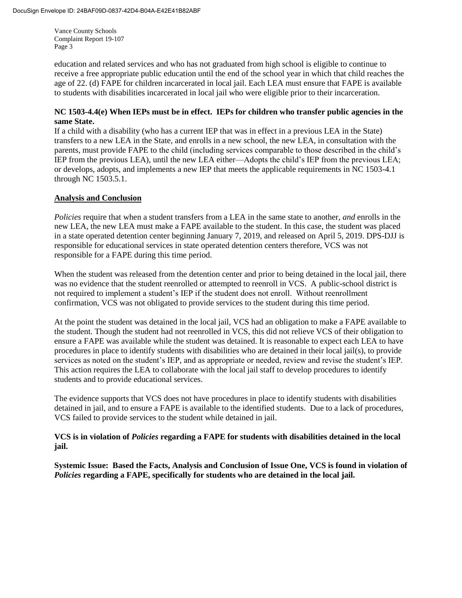education and related services and who has not graduated from high school is eligible to continue to receive a free appropriate public education until the end of the school year in which that child reaches the age of 22. (d) FAPE for children incarcerated in local jail. Each LEA must ensure that FAPE is available to students with disabilities incarcerated in local jail who were eligible prior to their incarceration.

### **NC 1503-4.4(e) When IEPs must be in effect. IEPs for children who transfer public agencies in the same State.**

If a child with a disability (who has a current IEP that was in effect in a previous LEA in the State) transfers to a new LEA in the State, and enrolls in a new school, the new LEA, in consultation with the parents, must provide FAPE to the child (including services comparable to those described in the child's IEP from the previous LEA), until the new LEA either—Adopts the child's IEP from the previous LEA; or develops, adopts, and implements a new IEP that meets the applicable requirements in NC 1503-4.1 through NC 1503.5.1.

# **Analysis and Conclusion**

*Policies* require that when a student transfers from a LEA in the same state to another, *and* enrolls in the new LEA, the new LEA must make a FAPE available to the student. In this case, the student was placed in a state operated detention center beginning January 7, 2019, and released on April 5, 2019. DPS-DJJ is responsible for educational services in state operated detention centers therefore, VCS was not responsible for a FAPE during this time period.

When the student was released from the detention center and prior to being detained in the local jail, there was no evidence that the student reenrolled or attempted to reenroll in VCS. A public-school district is not required to implement a student's IEP if the student does not enroll. Without reenrollment confirmation, VCS was not obligated to provide services to the student during this time period.

At the point the student was detained in the local jail, VCS had an obligation to make a FAPE available to the student. Though the student had not reenrolled in VCS, this did not relieve VCS of their obligation to ensure a FAPE was available while the student was detained. It is reasonable to expect each LEA to have procedures in place to identify students with disabilities who are detained in their local jail(s), to provide services as noted on the student's IEP, and as appropriate or needed, review and revise the student's IEP. This action requires the LEA to collaborate with the local jail staff to develop procedures to identify students and to provide educational services.

The evidence supports that VCS does not have procedures in place to identify students with disabilities detained in jail, and to ensure a FAPE is available to the identified students. Due to a lack of procedures, VCS failed to provide services to the student while detained in jail.

# **VCS is in violation of** *Policies* **regarding a FAPE for students with disabilities detained in the local jail.**

**Systemic Issue: Based the Facts, Analysis and Conclusion of Issue One, VCS is found in violation of**  *Policies* **regarding a FAPE, specifically for students who are detained in the local jail.**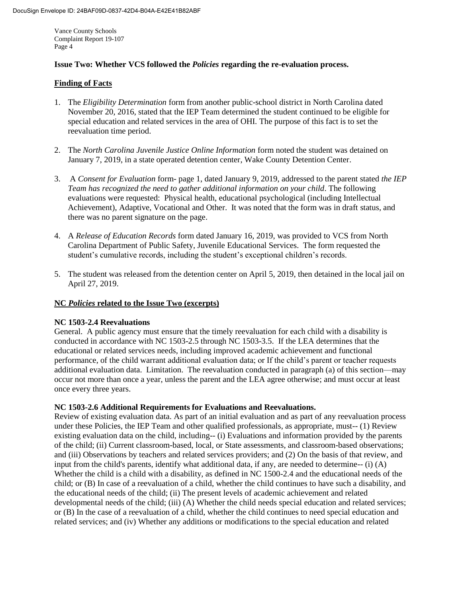### **Issue Two: Whether VCS followed the** *Policies* **regarding the re-evaluation process.**

## **Finding of Facts**

- 1. The *Eligibility Determination* form from another public-school district in North Carolina dated November 20, 2016, stated that the IEP Team determined the student continued to be eligible for special education and related services in the area of OHI. The purpose of this fact is to set the reevaluation time period.
- 2. The *North Carolina Juvenile Justice Online Information* form noted the student was detained on January 7, 2019, in a state operated detention center, Wake County Detention Center.
- 3. A *Consent for Evaluation* form- page 1, dated January 9, 2019, addressed to the parent stated *the IEP Team has recognized the need to gather additional information on your child*. The following evaluations were requested: Physical health, educational psychological (including Intellectual Achievement), Adaptive, Vocational and Other. It was noted that the form was in draft status, and there was no parent signature on the page.
- 4. A *Release of Education Records* form dated January 16, 2019, was provided to VCS from North Carolina Department of Public Safety, Juvenile Educational Services. The form requested the student's cumulative records, including the student's exceptional children's records.
- 5. The student was released from the detention center on April 5, 2019, then detained in the local jail on April 27, 2019.

### **NC** *Policies* **related to the Issue Two (excerpts)**

#### **NC 1503-2.4 Reevaluations**

General. A public agency must ensure that the timely reevaluation for each child with a disability is conducted in accordance with NC 1503-2.5 through NC 1503-3.5. If the LEA determines that the educational or related services needs, including improved academic achievement and functional performance, of the child warrant additional evaluation data; or If the child's parent or teacher requests additional evaluation data. Limitation. The reevaluation conducted in paragraph (a) of this section—may occur not more than once a year, unless the parent and the LEA agree otherwise; and must occur at least once every three years.

#### **NC 1503-2.6 Additional Requirements for Evaluations and Reevaluations.**

Review of existing evaluation data. As part of an initial evaluation and as part of any reevaluation process under these Policies, the IEP Team and other qualified professionals, as appropriate, must-- (1) Review existing evaluation data on the child, including-- (i) Evaluations and information provided by the parents of the child; (ii) Current classroom-based, local, or State assessments, and classroom-based observations; and (iii) Observations by teachers and related services providers; and (2) On the basis of that review, and input from the child's parents, identify what additional data, if any, are needed to determine--  $(i)$  (A) Whether the child is a child with a disability, as defined in NC 1500-2.4 and the educational needs of the child; or (B) In case of a reevaluation of a child, whether the child continues to have such a disability, and the educational needs of the child; (ii) The present levels of academic achievement and related developmental needs of the child; (iii) (A) Whether the child needs special education and related services; or (B) In the case of a reevaluation of a child, whether the child continues to need special education and related services; and (iv) Whether any additions or modifications to the special education and related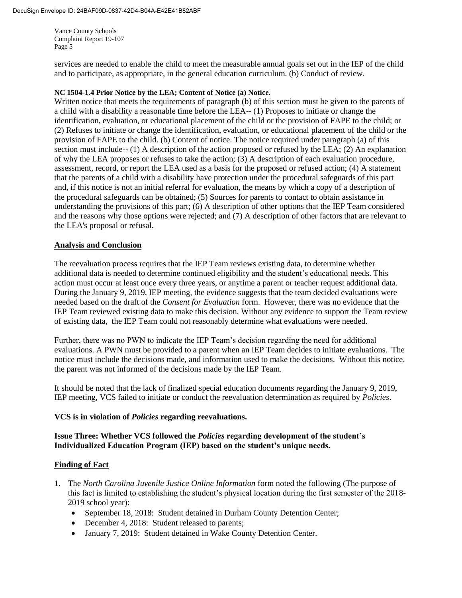services are needed to enable the child to meet the measurable annual goals set out in the IEP of the child and to participate, as appropriate, in the general education curriculum. (b) Conduct of review.

#### **NC 1504-1.4 Prior Notice by the LEA; Content of Notice (a) Notice.**

Written notice that meets the requirements of paragraph (b) of this section must be given to the parents of a child with a disability a reasonable time before the LEA-- (1) Proposes to initiate or change the identification, evaluation, or educational placement of the child or the provision of FAPE to the child; or (2) Refuses to initiate or change the identification, evaluation, or educational placement of the child or the provision of FAPE to the child. (b) Content of notice. The notice required under paragraph (a) of this section must include-- (1) A description of the action proposed or refused by the LEA; (2) An explanation of why the LEA proposes or refuses to take the action; (3) A description of each evaluation procedure, assessment, record, or report the LEA used as a basis for the proposed or refused action; (4) A statement that the parents of a child with a disability have protection under the procedural safeguards of this part and, if this notice is not an initial referral for evaluation, the means by which a copy of a description of the procedural safeguards can be obtained; (5) Sources for parents to contact to obtain assistance in understanding the provisions of this part; (6) A description of other options that the IEP Team considered and the reasons why those options were rejected; and (7) A description of other factors that are relevant to the LEA's proposal or refusal.

#### **Analysis and Conclusion**

The reevaluation process requires that the IEP Team reviews existing data, to determine whether additional data is needed to determine continued eligibility and the student's educational needs. This action must occur at least once every three years, or anytime a parent or teacher request additional data. During the January 9, 2019, IEP meeting, the evidence suggests that the team decided evaluations were needed based on the draft of the *Consent for Evaluation* form. However, there was no evidence that the IEP Team reviewed existing data to make this decision. Without any evidence to support the Team review of existing data, the IEP Team could not reasonably determine what evaluations were needed.

Further, there was no PWN to indicate the IEP Team's decision regarding the need for additional evaluations. A PWN must be provided to a parent when an IEP Team decides to initiate evaluations. The notice must include the decisions made, and information used to make the decisions. Without this notice, the parent was not informed of the decisions made by the IEP Team.

It should be noted that the lack of finalized special education documents regarding the January 9, 2019, IEP meeting, VCS failed to initiate or conduct the reevaluation determination as required by *Policies*.

#### **VCS is in violation of** *Policies* **regarding reevaluations.**

#### **Issue Three: Whether VCS followed the** *Policies* **regarding development of the student's Individualized Education Program (IEP) based on the student's unique needs.**

#### **Finding of Fact**

- 1. The *North Carolina Juvenile Justice Online Information* form noted the following (The purpose of this fact is limited to establishing the student's physical location during the first semester of the 2018- 2019 school year):
	- September 18, 2018: Student detained in Durham County Detention Center;
	- December 4, 2018: Student released to parents;
	- January 7, 2019: Student detained in Wake County Detention Center.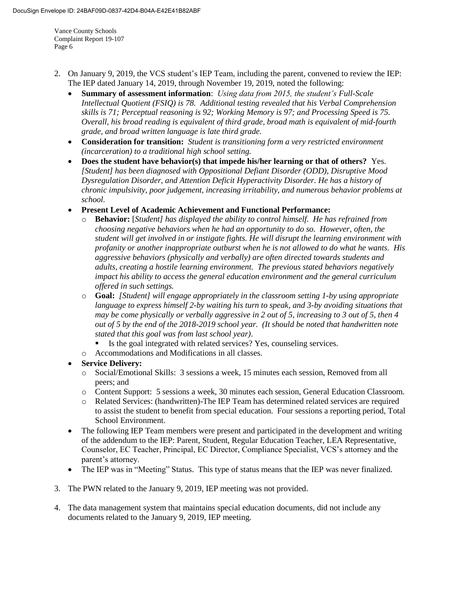- 2. On January 9, 2019, the VCS student's IEP Team, including the parent, convened to review the IEP: The IEP dated January 14, 2019, through November 19, 2019, noted the following:
	- **Summary of assessment information**: *Using data from 2015, the student's Full-Scale Intellectual Quotient (FSIQ) is 78. Additional testing revealed that his Verbal Comprehension skills is 71; Perceptual reasoning is 92; Working Memory is 97; and Processing Speed is 75. Overall, his broad reading is equivalent of third grade, broad math is equivalent of mid-fourth grade, and broad written language is late third grade.*
	- **Consideration for transition:** *Student is transitioning form a very restricted environment (incarceration) to a traditional high school setting.*
	- **Does the student have behavior(s) that impede his/her learning or that of others?** Yes. *[Student] has been diagnosed with Oppositional Defiant Disorder (ODD), Disruptive Mood Dysregulation Disorder, and Attention Deficit Hyperactivity Disorder. He has a history of chronic impulsivity, poor judgement, increasing irritability, and numerous behavior problems at school.*
	- **Present Level of Academic Achievement and Functional Performance:** 
		- o **Behavior:** [*Student] has displayed the ability to control himself. He has refrained from choosing negative behaviors when he had an opportunity to do so. However, often, the student will get involved in or instigate fights. He will disrupt the learning environment with profanity or another inappropriate outburst when he is not allowed to do what he wants. His aggressive behaviors (physically and verbally) are often directed towards students and adults, creating a hostile learning environment. The previous stated behaviors negatively impact his ability to access the general education environment and the general curriculum offered in such settings.*
		- o **Goal:** *[Student] will engage appropriately in the classroom setting 1-by using appropriate language to express himself 2-by waiting his turn to speak, and 3-by avoiding situations that may be come physically or verbally aggressive in 2 out of 5, increasing to 3 out of 5, then 4 out of 5 by the end of the 2018-2019 school year. (It should be noted that handwritten note stated that this goal was from last school year)*.
			- Is the goal integrated with related services? Yes, counseling services.
		- o Accommodations and Modifications in all classes.
	- **Service Delivery:** 
		- o Social/Emotional Skills: 3 sessions a week, 15 minutes each session, Removed from all peers; and
		- o Content Support: 5 sessions a week, 30 minutes each session, General Education Classroom.
		- o Related Services: (handwritten)-The IEP Team has determined related services are required to assist the student to benefit from special education. Four sessions a reporting period, Total School Environment.
	- The following IEP Team members were present and participated in the development and writing of the addendum to the IEP: Parent, Student, Regular Education Teacher, LEA Representative, Counselor, EC Teacher, Principal, EC Director, Compliance Specialist, VCS's attorney and the parent's attorney.
	- The IEP was in "Meeting" Status. This type of status means that the IEP was never finalized.
- 3. The PWN related to the January 9, 2019, IEP meeting was not provided.
- 4. The data management system that maintains special education documents, did not include any documents related to the January 9, 2019, IEP meeting.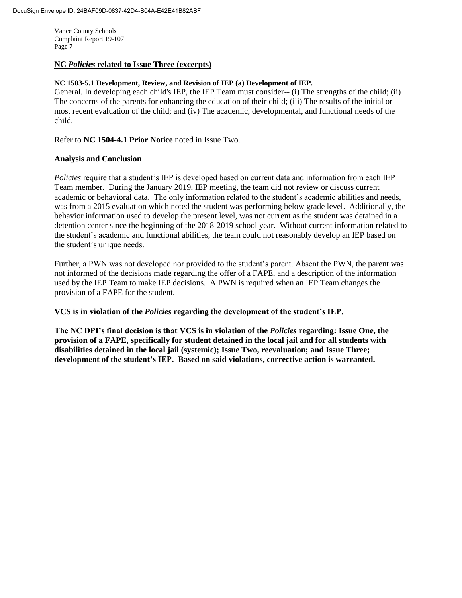#### **NC** *Policies* **related to Issue Three (excerpts)**

#### **NC 1503-5.1 Development, Review, and Revision of IEP (a) Development of IEP.**

General. In developing each child's IEP, the IEP Team must consider-- (i) The strengths of the child; (ii) The concerns of the parents for enhancing the education of their child; (iii) The results of the initial or most recent evaluation of the child; and (iv) The academic, developmental, and functional needs of the child.

Refer to **NC 1504-4.1 Prior Notice** noted in Issue Two.

#### **Analysis and Conclusion**

*Policies* require that a student's IEP is developed based on current data and information from each IEP Team member. During the January 2019, IEP meeting, the team did not review or discuss current academic or behavioral data. The only information related to the student's academic abilities and needs, was from a 2015 evaluation which noted the student was performing below grade level. Additionally, the behavior information used to develop the present level, was not current as the student was detained in a detention center since the beginning of the 2018-2019 school year. Without current information related to the student's academic and functional abilities, the team could not reasonably develop an IEP based on the student's unique needs.

Further, a PWN was not developed nor provided to the student's parent. Absent the PWN, the parent was not informed of the decisions made regarding the offer of a FAPE, and a description of the information used by the IEP Team to make IEP decisions. A PWN is required when an IEP Team changes the provision of a FAPE for the student.

**VCS is in violation of the** *Policies* **regarding the development of the student's IEP**.

**The NC DPI's final decision is that VCS is in violation of the** *Policies* **regarding: Issue One, the provision of a FAPE, specifically for student detained in the local jail and for all students with disabilities detained in the local jail (systemic); Issue Two, reevaluation; and Issue Three; development of the student's IEP. Based on said violations, corrective action is warranted.**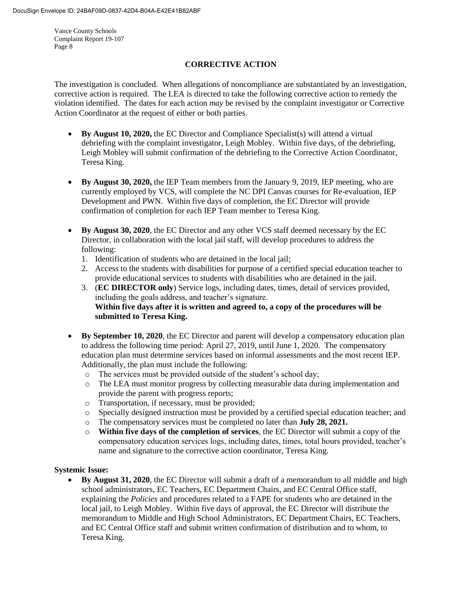# **CORRECTIVE ACTION**

The investigation is concluded. When allegations of noncompliance are substantiated by an investigation, corrective action is required. The LEA is directed to take the following corrective action to remedy the violation identified. The dates for each action *may* be revised by the complaint investigator or Corrective Action Coordinator at the request of either or both parties.

- **By August 10, 2020,** the EC Director and Compliance Specialist(s) will attend a virtual debriefing with the complaint investigator, Leigh Mobley. Within five days, of the debriefing, Leigh Mobley will submit confirmation of the debriefing to the Corrective Action Coordinator, Teresa King.
- **By August 30, 2020,** the IEP Team members from the January 9, 2019, IEP meeting, who are currently employed by VCS, will complete the NC DPI Canvas courses for Re-evaluation, IEP Development and PWN. Within five days of completion, the EC Director will provide confirmation of completion for each IEP Team member to Teresa King.
- **By August 30, 2020**, the EC Director and any other VCS staff deemed necessary by the EC Director, in collaboration with the local jail staff, will develop procedures to address the following:
	- 1. Identification of students who are detained in the local jail;
	- 2. Access to the students with disabilities for purpose of a certified special education teacher to provide educational services to students with disabilities who are detained in the jail.
	- 3. (**EC DIRECTOR only**) Service logs, including dates, times, detail of services provided, including the goals address, and teacher's signature. **Within five days after it is written and agreed to, a copy of the procedures will be submitted to Teresa King.**
- **By September 10, 2020**, the EC Director and parent will develop a compensatory education plan to address the following time period: April 27, 2019, until June 1, 2020. The compensatory education plan must determine services based on informal assessments and the most recent IEP. Additionally, the plan must include the following:
	- o The services must be provided outside of the student's school day;
	- o The LEA must monitor progress by collecting measurable data during implementation and provide the parent with progress reports;
	- o Transportation, if necessary, must be provided;
	- o Specially designed instruction must be provided by a certified special education teacher; and
	- o The compensatory services must be completed no later than **July 28, 2021.**
	- o **Within five days of the completion of services**, the EC Director will submit a copy of the compensatory education services logs, including dates, times, total hours provided, teacher's name and signature to the corrective action coordinator, Teresa King.

#### **Systemic Issue:**

 **By August 31, 2020**, the EC Director will submit a draft of a memorandum to all middle and high school administrators, EC Teachers, EC Department Chairs, and EC Central Office staff, explaining the *Policies* and procedures related to a FAPE for students who are detained in the local jail, to Leigh Mobley. Within five days of approval, the EC Director will distribute the memorandum to Middle and High School Administrators, EC Department Chairs, EC Teachers, and EC Central Office staff and submit written confirmation of distribution and to whom, to Teresa King.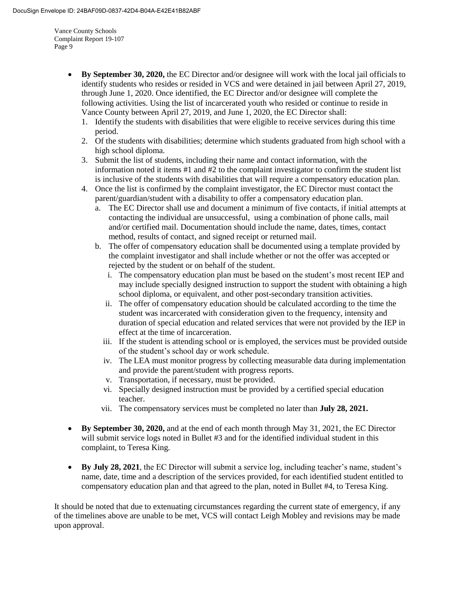- **By September 30, 2020,** the EC Director and/or designee will work with the local jail officials to identify students who resides or resided in VCS and were detained in jail between April 27, 2019, through June 1, 2020. Once identified, the EC Director and/or designee will complete the following activities. Using the list of incarcerated youth who resided or continue to reside in Vance County between April 27, 2019, and June 1, 2020, the EC Director shall:
	- 1. Identify the students with disabilities that were eligible to receive services during this time period.
	- 2. Of the students with disabilities; determine which students graduated from high school with a high school diploma.
	- 3. Submit the list of students, including their name and contact information, with the information noted it items #1 and #2 to the complaint investigator to confirm the student list is inclusive of the students with disabilities that will require a compensatory education plan.
	- 4. Once the list is confirmed by the complaint investigator, the EC Director must contact the parent/guardian/student with a disability to offer a compensatory education plan.
		- a. The EC Director shall use and document a minimum of five contacts, if initial attempts at contacting the individual are unsuccessful, using a combination of phone calls, mail and/or certified mail. Documentation should include the name, dates, times, contact method, results of contact, and signed receipt or returned mail.
		- b. The offer of compensatory education shall be documented using a template provided by the complaint investigator and shall include whether or not the offer was accepted or rejected by the student or on behalf of the student.
			- i. The compensatory education plan must be based on the student's most recent IEP and may include specially designed instruction to support the student with obtaining a high school diploma, or equivalent, and other post-secondary transition activities.
			- ii. The offer of compensatory education should be calculated according to the time the student was incarcerated with consideration given to the frequency, intensity and duration of special education and related services that were not provided by the IEP in effect at the time of incarceration.
			- iii. If the student is attending school or is employed, the services must be provided outside of the student's school day or work schedule.
			- iv. The LEA must monitor progress by collecting measurable data during implementation and provide the parent/student with progress reports.
			- v. Transportation, if necessary, must be provided.
			- vi. Specially designed instruction must be provided by a certified special education teacher.
			- vii. The compensatory services must be completed no later than **July 28, 2021.**
- **By September 30, 2020,** and at the end of each month through May 31, 2021, the EC Director will submit service logs noted in Bullet #3 and for the identified individual student in this complaint, to Teresa King.
- **By July 28, 2021**, the EC Director will submit a service log, including teacher's name, student's name, date, time and a description of the services provided, for each identified student entitled to compensatory education plan and that agreed to the plan, noted in Bullet #4, to Teresa King.

It should be noted that due to extenuating circumstances regarding the current state of emergency, if any of the timelines above are unable to be met, VCS will contact Leigh Mobley and revisions may be made upon approval.